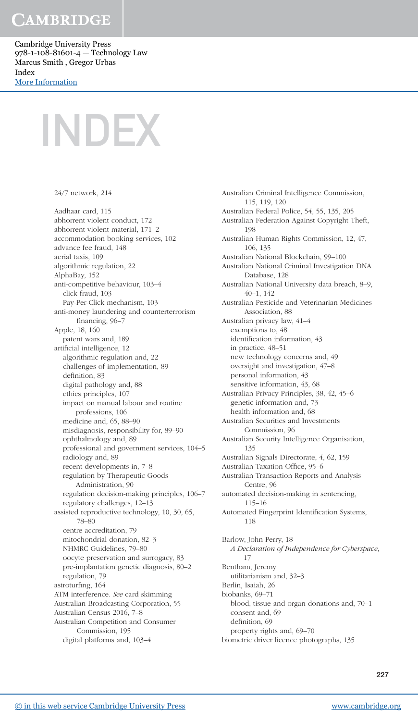Cambridge University Press 978-1-108-81601-4 — Technology Law Marcus Smith , Gregor Urbas Index [More Information](www.cambridge.org/9781108816014)

24/7 network, 214

INDEX

Aadhaar card, 115 abhorrent violent conduct, 172 abhorrent violent material, 171–2 accommodation booking services, 102 advance fee fraud, 148 aerial taxis, 109 algorithmic regulation, 22 AlphaBay, 152 anti-competitive behaviour, 103–4 click fraud, 103 Pay-Per-Click mechanism, 103 anti-money laundering and counterterrorism financing, 96–7 Apple, 18, 160 patent wars and, 189 artificial intelligence, 12 algorithmic regulation and, 22 challenges of implementation, 89 definition, 83 digital pathology and, 88 ethics principles, 107 impact on manual labour and routine professions, 106 medicine and, 65, 88–90 misdiagnosis, responsibility for, 89–90 ophthalmology and, 89 professional and government services, 104–5 radiology and, 89 recent developments in, 7–8 regulation by Therapeutic Goods Administration, 90 regulation decision-making principles, 106–7 regulatory challenges, 12–13 assisted reproductive technology, 10, 30, 65, 78–80 centre accreditation, 79 mitochondrial donation, 82–3 NHMRC Guidelines, 79–80 oocyte preservation and surrogacy, 83 pre-implantation genetic diagnosis, 80–2 regulation, 79 astroturfing, 164 ATM interference. See card skimming Australian Broadcasting Corporation, 55 Australian Census 2016, 7–8 Australian Competition and Consumer Commission, 195 digital platforms and, 103–4

Australian Criminal Intelligence Commission, 115, 119, 120 Australian Federal Police, 54, 55, 135, 205 Australian Federation Against Copyright Theft, 198 Australian Human Rights Commission, 12, 47, 106, 135 Australian National Blockchain, 99–100 Australian National Criminal Investigation DNA Database, 128 Australian National University data breach, 8–9, 40–1, 142 Australian Pesticide and Veterinarian Medicines Association, 88 Australian privacy law, 41–4 exemptions to, 48 identification information, 43 in practice, 48–51 new technology concerns and, 49 oversight and investigation, 47–8 personal information, 43 sensitive information, 43, 68 Australian Privacy Principles, 38, 42, 45–6 genetic information and, 73 health information and, 68 Australian Securities and Investments Commission, 96 Australian Security Intelligence Organisation, 135 Australian Signals Directorate, 4, 62, 159 Australian Taxation Office, 95–6 Australian Transaction Reports and Analysis Centre, 96 automated decision-making in sentencing, 115–16 Automated Fingerprint Identification Systems, 118 Barlow, John Perry, 18 A Declaration of Independence for Cyberspace, 17 Bentham, Jeremy utilitarianism and, 32–3 Berlin, Isaiah, 26 biobanks, 69–71 blood, tissue and organ donations and, 70–1 consent and, 69 definition, 69 property rights and, 69–70

biometric driver licence photographs, 135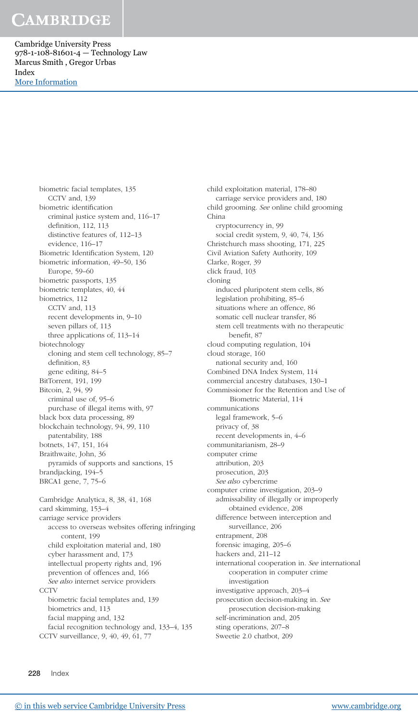Cambridge University Press 978-1-108-81601-4 — Technology Law Marcus Smith , Gregor Urbas Index [More Information](www.cambridge.org/9781108816014)

biometric facial templates, 135

CCTV and, 139 biometric identification criminal justice system and, 116–17 definition, 112, 113 distinctive features of, 112–13 evidence, 116–17 Biometric Identification System, 120 biometric information, 49–50, 136 Europe, 59–60 biometric passports, 135 biometric templates, 40, 44 biometrics, 112 CCTV and, 113 recent developments in, 9–10 seven pillars of, 113 three applications of, 113–14 biotechnology cloning and stem cell technology, 85–7 definition, 83 gene editing, 84–5 BitTorrent, 191, 199 Bitcoin, 2, 94, 99 criminal use of, 95–6 purchase of illegal items with, 97 black box data processing, 89 blockchain technology, 94, 99, 110 patentability, 188 botnets, 147, 151, 164 Braithwaite, John, 36 pyramids of supports and sanctions, 15 brandjacking, 194–5 BRCA1 gene, 7, 75–6 Cambridge Analytica, 8, 38, 41, 168 card skimming, 153–4 carriage service providers access to overseas websites offering infringing content, 199 child exploitation material and, 180 cyber harassment and, 173 intellectual property rights and, 196 prevention of offences and, 166 See also internet service providers **CCTV** biometric facial templates and, 139 biometrics and, 113 facial mapping and, 132 facial recognition technology and, 133–4, 135 CCTV surveillance, 9, 40, 49, 61, 77

child exploitation material, 178–80 carriage service providers and, 180 child grooming. See online child grooming China cryptocurrency in, 99 social credit system, 9, 40, 74, 136 Christchurch mass shooting, 171, 225 Civil Aviation Safety Authority, 109 Clarke, Roger, 39 click fraud, 103 cloning induced pluripotent stem cells, 86 legislation prohibiting, 85–6 situations where an offence, 86 somatic cell nuclear transfer, 86 stem cell treatments with no therapeutic benefit, 87 cloud computing regulation, 104 cloud storage, 160 national security and, 160 Combined DNA Index System, 114 commercial ancestry databases, 130–1 Commissioner for the Retention and Use of Biometric Material, 114 communications legal framework, 5–6 privacy of, 38 recent developments in, 4–6 communitarianism, 28–9 computer crime attribution, 203 prosecution, 203 See also cybercrime computer crime investigation, 203–9 admissability of illegally or improperly obtained evidence, 208 difference between interception and surveillance, 206 entrapment, 208 forensic imaging, 205–6 hackers and, 211–12 international cooperation in. See international cooperation in computer crime investigation investigative approach, 203–4 prosecution decision-making in. See prosecution decision-making self-incrimination and, 205 sting operations, 207–8 Sweetie 2.0 chatbot, 209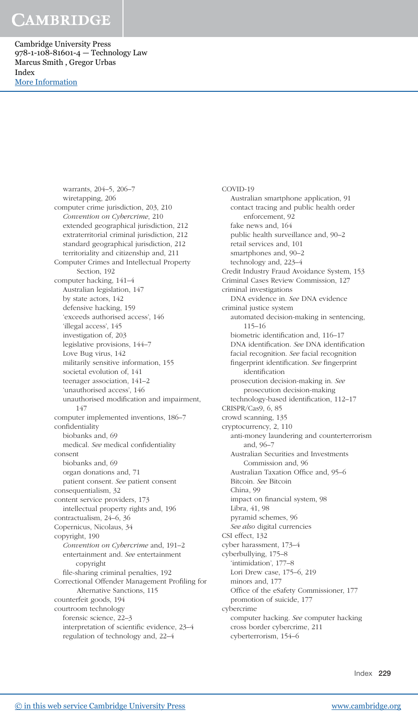Cambridge University Press 978-1-108-81601-4 — Technology Law Marcus Smith , Gregor Urbas Index [More Information](www.cambridge.org/9781108816014)

> warrants, 204–5, 206–7 wiretapping, 206 computer crime jurisdiction, 203, 210 Convention on Cybercrime, 210 extended geographical jurisdiction, 212 extraterritorial criminal jurisdiction, 212 standard geographical jurisdiction, 212 territoriality and citizenship and, 211 Computer Crimes and Intellectual Property Section, 192 computer hacking, 141–4 Australian legislation, 147 by state actors, 142 defensive hacking, 159 'exceeds authorised access', 146 'illegal access', 145 investigation of, 203 legislative provisions, 144–7 Love Bug virus, 142 militarily sensitive information, 155 societal evolution of, 141 teenager association, 141–2 'unauthorised access', 146 unauthorised modification and impairment, 147 computer implemented inventions, 186–7 confidentiality biobanks and, 69 medical. See medical confidentiality consent biobanks and, 69 organ donations and, 71 patient consent. See patient consent consequentialism, 32 content service providers, 173 intellectual property rights and, 196 contractualism, 24–6, 36 Copernicus, Nicolaus, 34 copyright, 190 Convention on Cybercrime and, 191–2 entertainment and. See entertainment copyright file-sharing criminal penalties, 192 Correctional Offender Management Profiling for Alternative Sanctions, 115 counterfeit goods, 194 courtroom technology forensic science, 22–3 interpretation of scientific evidence, 23–4 regulation of technology and, 22–4

COVID-19 Australian smartphone application, 91 contact tracing and public health order enforcement, 92 fake news and, 164 public health surveillance and, 90–2 retail services and, 101 smartphones and, 90–2 technology and, 223–4 Credit Industry Fraud Avoidance System, 153 Criminal Cases Review Commission, 127 criminal investigations DNA evidence in. See DNA evidence criminal justice system automated decision-making in sentencing, 115–16 biometric identification and, 116–17 DNA identification. See DNA identification facial recognition. See facial recognition fingerprint identification. See fingerprint identification prosecution decision-making in. See prosecution decision-making technology-based identification, 112–17 CRISPR/Cas9, 6, 85 crowd scanning, 135 cryptocurrency, 2, 110 anti-money laundering and counterterrorism and, 96–7 Australian Securities and Investments Commission and, 96 Australian Taxation Office and, 95–6 Bitcoin. See Bitcoin China, 99 impact on financial system, 98 Libra, 41, 98 pyramid schemes, 96 See also digital currencies CSI effect, 132 cyber harassment, 173–4 cyberbullying, 175–8 'intimidation', 177–8 Lori Drew case, 175–6, 219 minors and, 177 Office of the eSafety Commissioner, 177 promotion of suicide, 177 cybercrime computer hacking. See computer hacking cross border cybercrime, 211 cyberterrorism, 154–6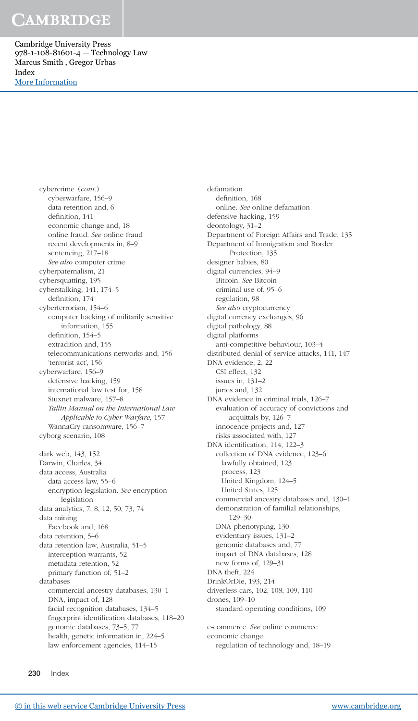Cambridge University Press 978-1-108-81601-4 — Technology Law Marcus Smith , Gregor Urbas Index [More Information](www.cambridge.org/9781108816014)

cybercrime (cont.)

cyberwarfare, 156–9 data retention and, 6 definition, 141 economic change and, 18 online fraud. See online fraud recent developments in, 8–9 sentencing, 217–18 See also computer crime cyberpaternalism, 21 cybersquatting, 195 cyberstalking, 141, 174–5 definition, 174 cyberterrorism, 154–6 computer hacking of militarily sensitive information, 155 definition, 154–5 extradition and, 155 telecommunications networks and, 156 'terrorist act', 156 cyberwarfare, 156–9 defensive hacking, 159 international law test for, 158 Stuxnet malware, 157–8 Tallin Manual on the International Law Applicable to Cyber Warfare, 157 WannaCry ransomware, 156–7 cyborg scenario, 108 dark web, 143, 152 Darwin, Charles, 34 data access, Australia data access law, 55–6 encryption legislation. See encryption legislation data analytics, 7, 8, 12, 50, 73, 74 data mining Facebook and, 168 data retention, 5–6 data retention law, Australia, 51–5 interception warrants, 52 metadata retention, 52 primary function of, 51–2 databases commercial ancestry databases, 130–1 DNA, impact of, 128 facial recognition databases, 134–5 fingerprint identification databases, 118–20 genomic databases, 73–5, 77 health, genetic information in, 224–5

defamation definition, 168 online. See online defamation defensive hacking, 159 deontology, 31–2 Department of Foreign Affairs and Trade, 135 Department of Immigration and Border Protection, 135 designer babies, 80 digital currencies, 94–9 Bitcoin. See Bitcoin criminal use of, 95–6 regulation, 98 See also cryptocurrency digital currency exchanges, 96 digital pathology, 88 digital platforms anti-competitive behaviour, 103–4 distributed denial-of-service attacks, 141, 147 DNA evidence, 2, 22 CSI effect, 132 issues in, 131–2 juries and, 132 DNA evidence in criminal trials, 126–7 evaluation of accuracy of convictions and acquittals by, 126–7 innocence projects and, 127 risks associated with, 127 DNA identification, 114, 122–3 collection of DNA evidence, 123–6 lawfully obtained, 123 process, 123 United Kingdom, 124–5 United States, 125 commercial ancestry databases and, 130–1 demonstration of familial relationships, 129–30 DNA phenotyping, 130 evidentiary issues, 131–2 genomic databases and, 77 impact of DNA databases, 128 new forms of, 129–31 DNA theft, 224 DrinkOrDie, 193, 214 driverless cars, 102, 108, 109, 110 drones, 109–10 standard operating conditions, 109 e-commerce. See online commerce

economic change

regulation of technology and, 18–19

230 Index

[© in this web service Cambridge University Press](www.cambridge.org) www.cambridge.org

law enforcement agencies, 114–15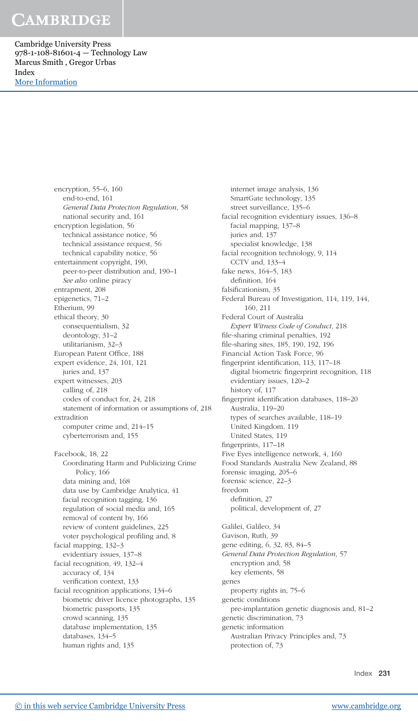Cambridge University Press 978-1-108-81601-4 — Technology Law Marcus Smith , Gregor Urbas Index [More Information](www.cambridge.org/9781108816014)

> encryption, 55–6, 160 end-to-end, 161 General Data Protection Regulation, 58 national security and, 161 encryption legislation, 56 technical assistance notice, 56 technical assistance request, 56 technical capability notice, 56 entertainment copyright, 190, peer-to-peer distribution and, 190–1 See also online piracy entrapment, 208 epigenetics, 71–2 Etherium, 99 ethical theory, 30 consequentialism, 32 deontology, 31–2 utilitarianism, 32–3 European Patent Office, 188 expert evidence, 24, 101, 121 juries and, 137 expert witnesses, 203 calling of, 218 codes of conduct for, 24, 218 statement of information or assumptions of, 218 extradition computer crime and, 214–15 cyberterrorism and, 155 Facebook, 18, 22 Coordinating Harm and Publicizing Crime Policy, 166 data mining and, 168 data use by Cambridge Analytica, 41 facial recognition tagging, 136 regulation of social media and, 165 removal of content by, 166 review of content guidelines, 225 voter psychological profiling and, 8 facial mapping, 132–3 evidentiary issues, 137–8 facial recognition, 49, 132–4 accuracy of, 134 verification context, 133 facial recognition applications, 134–6 biometric driver licence photographs, 135 biometric passports, 135 crowd scanning, 135 database implementation, 135 databases, 134–5

internet image analysis, 136 SmartGate technology, 135 street surveillance, 135–6 facial recognition evidentiary issues, 136–8 facial mapping, 137–8 juries and, 137 specialist knowledge, 138 facial recognition technology, 9, 114 CCTV and, 133–4 fake news, 164–5, 183 definition, 164 falsificationism, 35 Federal Bureau of Investigation, 114, 119, 144, 160, 211 Federal Court of Australia Expert Witness Code of Conduct, 218 file-sharing criminal penalties, 192 file-sharing sites, 185, 190, 192, 196 Financial Action Task Force, 96 fingerprint identification, 113, 117–18 digital biometric fingerprint recognition, 118 evidentiary issues, 120–2 history of, 117 fingerprint identification databases, 118–20 Australia, 119–20 types of searches available, 118–19 United Kingdom, 119 United States, 119 fingerprints, 117–18 Five Eyes intelligence network, 4, 160 Food Standards Australia New Zealand, 88 forensic imaging, 205–6 forensic science, 22–3 freedom definition, 27 political, development of, 27 Galilei, Galileo, 34 Gavison, Ruth, 39 gene editing, 6, 32, 83, 84–5 General Data Protection Regulation, 57 encryption and, 58 key elements, 58 genes property rights in, 75–6 genetic conditions pre-implantation genetic diagnosis and, 81–2 genetic discrimination, 73 genetic information Australian Privacy Principles and, 73 protection of, 73

human rights and, 135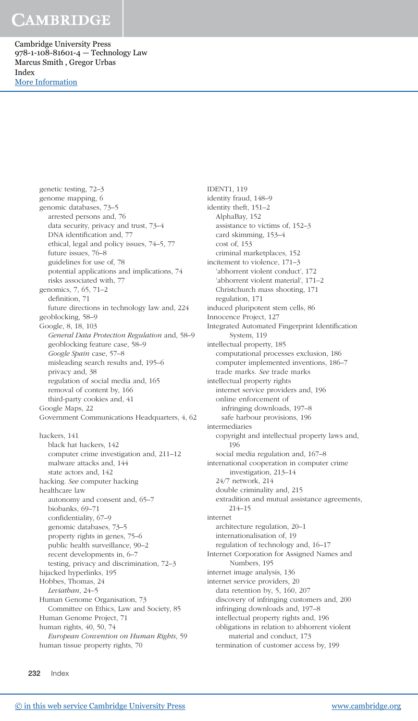Cambridge University Press 978-1-108-81601-4 — Technology Law Marcus Smith , Gregor Urbas Index [More Information](www.cambridge.org/9781108816014)

genetic testing, 72–3

genome mapping, 6 genomic databases, 73–5 arrested persons and, 76 data security, privacy and trust, 73–4 DNA identification and, 77 ethical, legal and policy issues, 74–5, 77 future issues, 76–8 guidelines for use of, 78 potential applications and implications, 74 risks associated with, 77 genomics, 7, 65, 71–2 definition, 71 future directions in technology law and, 224 geoblocking, 58–9 Google, 8, 18, 103 General Data Protection Regulation and, 58–9 geoblocking feature case, 58–9 Google Spain case, 57–8 misleading search results and, 195–6 privacy and, 38 regulation of social media and, 165 removal of content by, 166 third-party cookies and, 41 Google Maps, 22 Government Communications Headquarters, 4, 62 hackers, 141 black hat hackers, 142 computer crime investigation and, 211–12 malware attacks and, 144 state actors and, 142 hacking. See computer hacking healthcare law autonomy and consent and, 65–7 biobanks, 69–71 confidentiality, 67–9 genomic databases, 73–5 property rights in genes, 75–6 public health surveillance, 90–2 recent developments in, 6–7 testing, privacy and discrimination, 72–3 hijacked hyperlinks, 195 Hobbes, Thomas, 24 Leviathan, 24–5 Human Genome Organisation, 73 Committee on Ethics, Law and Society, 85 Human Genome Project, 71 human rights, 40, 50, 74 European Convention on Human Rights, 59 human tissue property rights, 70

IDENT1, 119 identity fraud, 148–9 identity theft, 151–2 AlphaBay, 152 assistance to victims of, 152–3 card skimming, 153–4 cost of, 153 criminal marketplaces, 152 incitement to violence, 171–3 'abhorrent violent conduct', 172 'abhorrent violent material', 171–2 Christchurch mass shooting, 171 regulation, 171 induced pluripotent stem cells, 86 Innocence Project, 127 Integrated Automated Fingerprint Identification System, 119 intellectual property, 185 computational processes exclusion, 186 computer implemented inventions, 186–7 trade marks. See trade marks intellectual property rights internet service providers and, 196 online enforcement of infringing downloads, 197–8 safe harbour provisions, 196 intermediaries copyright and intellectual property laws and, 196 social media regulation and, 167–8 international cooperation in computer crime investigation, 213–14 24/7 network, 214 double criminality and, 215 extradition and mutual assistance agreements, 214–15 internet architecture regulation, 20–1 internationalisation of, 19 regulation of technology and, 16–17 Internet Corporation for Assigned Names and Numbers, 195 internet image analysis, 136 internet service providers, 20 data retention by, 5, 160, 207 discovery of infringing customers and, 200 infringing downloads and, 197–8 intellectual property rights and, 196 obligations in relation to abhorrent violent material and conduct, 173 termination of customer access by, 199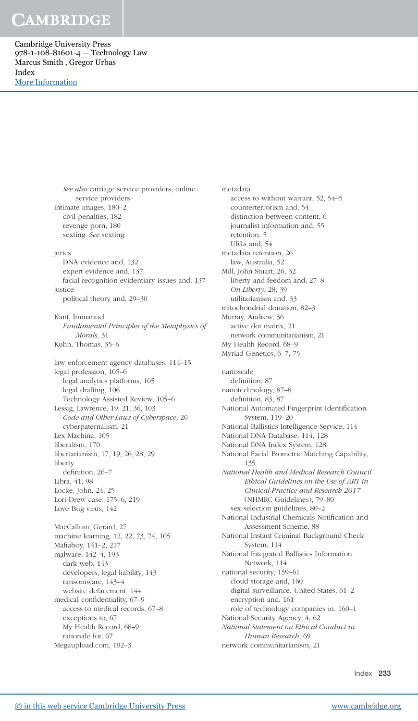Cambridge University Press 978-1-108-81601-4 — Technology Law Marcus Smith , Gregor Urbas Index [More Information](www.cambridge.org/9781108816014)

> See also carriage service providers; online service providers intimate images, 180–2 civil penalties, 182 revenge porn, 180 sexting. See sexting juries DNA evidence and, 132 expert evidence and, 137 facial recognition evidentiary issues and, 137 justice political theory and, 29–30 Kant, Immanuel Fundamental Principles of the Metaphysics of Morals, 31 Kuhn, Thomas, 35–6 law enforcement agency databases, 114–15 legal profession, 105–6 legal analytics platforms, 105 legal drafting, 106 Technology Assisted Review, 105–6 Lessig, Lawrence, 19, 21, 36, 103 Code and Other Laws of Cyberspace, 20 cyberpaternalism, 21 Lex Machina, 105 liberalism, 170 libertarianism, 17, 19, 26, 28, 29 liberty definition, 26–7 Libra, 41, 98 Locke, John, 24, 25 Lori Drew case, 175–6, 219 Love Bug virus, 142 MacCallum, Gerard, 27 machine learning, 12, 22, 73, 74, 105 Mafiaboy, 141–2, 217 malware, 142–4, 193 dark web, 143 developers, legal liability, 143 ransomware, 143–4 website defacement, 144 medical confidentiality, 67–9 access to medical records, 67–8 exceptions to, 67 My Health Record, 68–9 rationale for, 67 Megaupload.com, 192–3

metadata access to without warrant, 52, 54–5 counterterrorism and, 54 distinction between content, 6 journalist information and, 55 retention, 5 URLs and, 54 metadata retention, 26 law, Australia, 52 Mill, John Stuart, 26, 32 liberty and feedom and, 27–8 On Liberty, 28, 39 utilitarianism and, 33 mitochondrial donation, 82–3 Murray, Andrew, 36 active dot matrix, 21 network communitarianism, 21 My Health Record, 68–9 Myriad Genetics, 6–7, 75 nanoscale definition, 87 nanotechnology, 87–8 definition, 83, 87 National Automated Fingerprint Identification System, 119–20 National Ballistics Intelligence Service, 114 National DNA Database, 114, 128 National DNA Index System, 128 National Facial Biometric Matching Capability, 135 National Health and Medical Research Council Ethical Guidelines on the Use of ART in Clinical Practice and Research 2017 (NHMRC Guidelines), 79–80 sex selection guidelines, 80–2 National Industrial Chemicals Notification and Assessment Scheme, 88 National Instant Criminal Background Check System, 114 National Integrated Ballistics Information Network, 114 national security, 159–61 cloud storage and, 160 digital surveillance, United States, 61–2 encryption and, 161 role of technology companies in, 160–1 National Security Agency, 4, 62 National Statement on Ethical Conduct in Human Research, 69 network communitarianism, 21

Index 233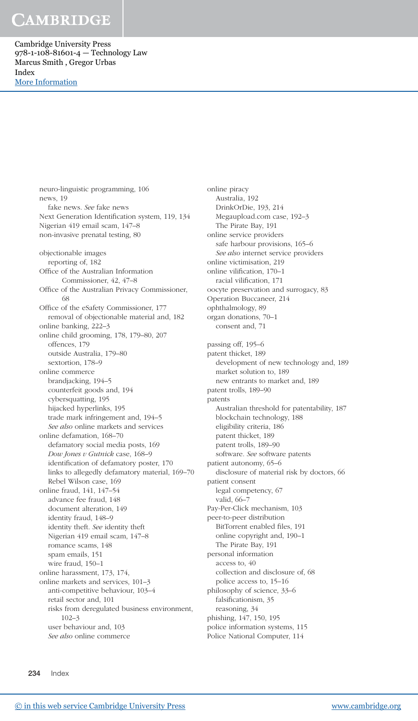Cambridge University Press 978-1-108-81601-4 — Technology Law Marcus Smith , Gregor Urbas Index [More Information](www.cambridge.org/9781108816014)

> neuro-linguistic programming, 106 news, 19 fake news. See fake news Next Generation Identification system, 119, 134 Nigerian 419 email scam, 147–8 non-invasive prenatal testing, 80 objectionable images reporting of, 182 Office of the Australian Information Commissioner, 42, 47–8 Office of the Australian Privacy Commissioner, 68 Office of the eSafety Commissioner, 177 removal of objectionable material and, 182 online banking, 222–3 online child grooming, 178, 179–80, 207 offences, 179 outside Australia, 179–80 sextortion, 178–9 online commerce brandjacking, 194–5 counterfeit goods and, 194 cybersquatting, 195 hijacked hyperlinks, 195 trade mark infringement and, 194–5 See also online markets and services online defamation, 168–70 defamatory social media posts, 169 Dow Jones v Gutnick case, 168–9 identification of defamatory poster, 170 links to allegedly defamatory material, 169–70 Rebel Wilson case, 169 online fraud, 141, 147–54 advance fee fraud, 148 document alteration, 149 identity fraud, 148–9 identity theft. See identity theft Nigerian 419 email scam, 147–8 romance scams, 148 spam emails, 151 wire fraud, 150–1 online harassment, 173, 174, online markets and services, 101–3 anti-competitive behaviour, 103–4 retail sector and, 101 risks from deregulated business environment, 102–3 user behaviour and, 103 See also online commerce

online piracy Australia, 192 DrinkOrDie, 193, 214 Megaupload.com case, 192–3 The Pirate Bay, 191 online service providers safe harbour provisions, 165–6 See also internet service providers online victimisation, 219 online vilification, 170–1 racial vilification, 171 oocyte preservation and surrogacy, 83 Operation Buccaneer, 214 ophthalmology, 89 organ donations, 70–1 consent and, 71 passing off, 195–6 patent thicket, 189 development of new technology and, 189 market solution to, 189 new entrants to market and, 189 patent trolls, 189–90 patents Australian threshold for patentability, 187 blockchain technology, 188 eligibility criteria, 186 patent thicket, 189 patent trolls, 189–90 software. See software patents patient autonomy, 65–6 disclosure of material risk by doctors, 66 patient consent legal competency, 67 valid, 66–7 Pay-Per-Click mechanism, 103 peer-to-peer distribution BitTorrent enabled files, 191 online copyright and, 190–1 The Pirate Bay, 191 personal information access to, 40 collection and disclosure of, 68 police access to, 15–16 philosophy of science, 33–6 falsificationism, 35 reasoning, 34 phishing, 147, 150, 195 police information systems, 115

Police National Computer, 114

234 Index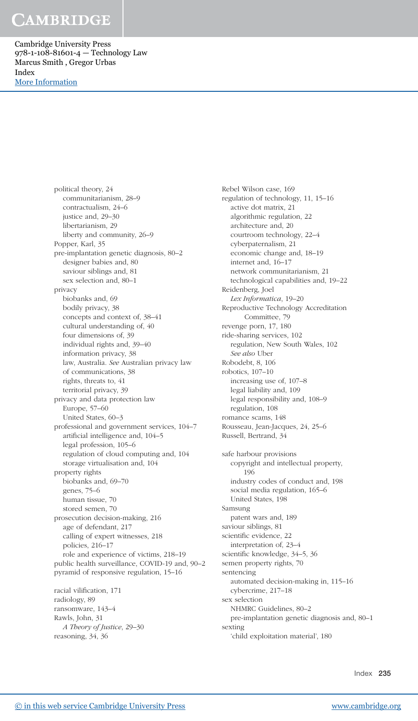Cambridge University Press 978-1-108-81601-4 — Technology Law Marcus Smith , Gregor Urbas Index [More Information](www.cambridge.org/9781108816014)

> political theory, 24 communitarianism, 28–9 contractualism, 24–6 justice and, 29–30 libertarianism, 29 liberty and community, 26–9 Popper, Karl, 35 pre-implantation genetic diagnosis, 80–2 designer babies and, 80 saviour siblings and, 81 sex selection and, 80–1 privacy biobanks and, 69 bodily privacy, 38 concepts and context of, 38–41 cultural understanding of, 40 four dimensions of, 39 individual rights and, 39–40 information privacy, 38 law, Australia. See Australian privacy law of communications, 38 rights, threats to, 41 territorial privacy, 39 privacy and data protection law Europe, 57–60 United States, 60–3 professional and government services, 104–7 artificial intelligence and, 104–5 legal profession, 105–6 regulation of cloud computing and, 104 storage virtualisation and, 104 property rights biobanks and, 69–70 genes, 75–6 human tissue, 70 stored semen, 70 prosecution decision-making, 216 age of defendant, 217 calling of expert witnesses, 218 policies, 216–17 role and experience of victims, 218–19 public health surveillance, COVID-19 and, 90–2 pyramid of responsive regulation, 15–16 racial vilification, 171 radiology, 89

ransomware, 143–4 Rawls, John, 31 A Theory of Justice, 29–30 reasoning, 34, 36

Rebel Wilson case, 169 regulation of technology, 11, 15–16 active dot matrix, 21 algorithmic regulation, 22 architecture and, 20 courtroom technology, 22–4 cyberpaternalism, 21 economic change and, 18–19 internet and, 16–17 network communitarianism, 21 technological capabilities and, 19–22 Reidenberg, Joel Lex Informatica, 19–20 Reproductive Technology Accreditation Committee, 79 revenge porn, 17, 180 ride-sharing services, 102 regulation, New South Wales, 102 See also Uber Robodebt, 8, 106 robotics, 107–10 increasing use of, 107–8 legal liability and, 109 legal responsibility and, 108–9 regulation, 108 romance scams, 148 Rousseau, Jean-Jacques, 24, 25–6 Russell, Bertrand, 34 safe harbour provisions copyright and intellectual property, 196 industry codes of conduct and, 198 social media regulation, 165–6 United States, 198 Samsung patent wars and, 189 saviour siblings, 81 scientific evidence, 22 interpretation of, 23–4 scientific knowledge, 34–5, 36 semen property rights, 70 sentencing automated decision-making in, 115–16 cybercrime, 217–18 sex selection NHMRC Guidelines, 80–2 pre-implantation genetic diagnosis and, 80–1 sexting

'child exploitation material', 180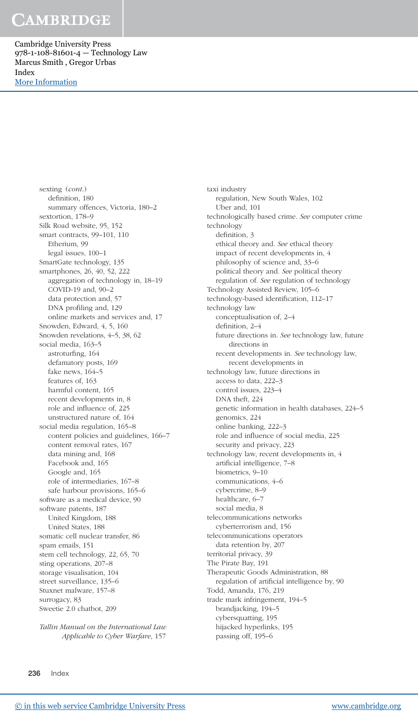Cambridge University Press 978-1-108-81601-4 — Technology Law Marcus Smith , Gregor Urbas Index [More Information](www.cambridge.org/9781108816014)

> sexting (cont.) definition, 180 summary offences, Victoria, 180–2 sextortion, 178–9 Silk Road website, 95, 152 smart contracts, 99–101, 110 Etherium, 99 legal issues, 100–1 SmartGate technology, 135 smartphones, 26, 40, 52, 222 aggregation of technology in, 18–19 COVID-19 and, 90–2 data protection and, 57 DNA profiling and, 129 online markets and services and, 17 Snowden, Edward, 4, 5, 160 Snowden revelations, 4–5, 38, 62 social media, 163–5 astroturfing, 164 defamatory posts, 169 fake news, 164–5 features of, 163 harmful content, 165 recent developments in, 8 role and influence of, 225 unstructured nature of, 164 social media regulation, 165–8 content policies and guidelines, 166–7 content removal rates, 167 data mining and, 168 Facebook and, 165 Google and, 165 role of intermediaries, 167–8 safe harbour provisions, 165–6 software as a medical device, 90 software patents, 187 United Kingdom, 188 United States, 188 somatic cell nuclear transfer, 86 spam emails, 151 stem cell technology, 22, 65, 70 sting operations, 207–8 storage visualisation, 104 street surveillance, 135–6 Stuxnet malware, 157–8 surrogacy, 83 Sweetie 2.0 chatbot, 209

> Tallin Manual on the International Law Applicable to Cyber Warfare, 157

taxi industry regulation, New South Wales, 102 Uber and, 101 technologically based crime. See computer crime technology definition, 3 ethical theory and. See ethical theory impact of recent developments in, 4 philosophy of science and, 33–6 political theory and. See political theory regulation of. See regulation of technology Technology Assisted Review, 105–6 technology-based identification, 112–17 technology law conceptualisation of, 2–4 definition, 2–4 future directions in. See technology law, future directions in recent developments in. See technology law, recent developments in technology law, future directions in access to data, 222–3 control issues, 223–4 DNA theft, 224 genetic information in health databases, 224–5 genomics, 224 online banking, 222–3 role and influence of social media, 225 security and privacy, 223 technology law, recent developments in, 4 artificial intelligence, 7–8 biometrics, 9–10 communications, 4–6 cybercrime, 8–9 healthcare, 6–7 social media, 8 telecommunications networks cyberterrorism and, 156 telecommunications operators data retention by, 207 territorial privacy, 39 The Pirate Bay, 191 Therapeutic Goods Administration, 88 regulation of artificial intelligence by, 90 Todd, Amanda, 176, 219 trade mark infringement, 194–5 brandjacking, 194–5 cybersquatting, 195 hijacked hyperlinks, 195 passing off, 195–6